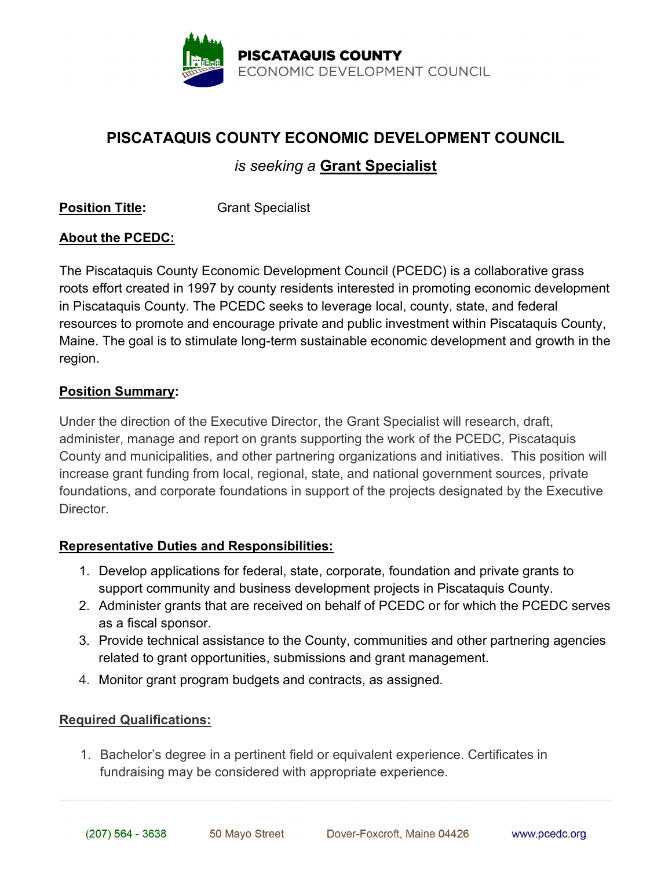

# PISCATAQUIS COUNTY ECONOMIC DEVELOPMENT COUNCIL

## is seeking a Grant Specialist

**Position Title:** Grant Specialist

### About the PCEDC:

The Piscataquis County Economic Development Council (PCEDC) is a collaborative grass roots effort created in 1997 by county residents interested in promoting economic development in Piscataquis County. The PCEDC seeks to leverage local, county, state, and federal resources to promote and encourage private and public investment within Piscataquis County, Maine. The goal is to stimulate long-term sustainable economic development and growth in the region.

#### Position Summary:

Under the direction of the Executive Director, the Grant Specialist will research, draft, administer, manage and report on grants supporting the work of the PCEDC, Piscataquis County and municipalities, and other partnering organizations and initiatives. This position will increase grant funding from local, regional, state, and national government sources, private foundations, and corporate foundations in support of the projects designated by the Executive Director.

### Representative Duties and Responsibilities:

- 1. Develop applications for federal, state, corporate, foundation and private grants to support community and business development projects in Piscataquis County.
- 2. Administer grants that are received on behalf of PCEDC or for which the PCEDC serves as a fiscal sponsor.
- 3. Provide technical assistance to the County, communities and other partnering agencies related to grant opportunities, submissions and grant management.
- 4. Monitor grant program budgets and contracts, as assigned.

#### Required Qualifications:

1. Bachelor's degree in a pertinent field or equivalent experience. Certificates in fundraising may be considered with appropriate experience.